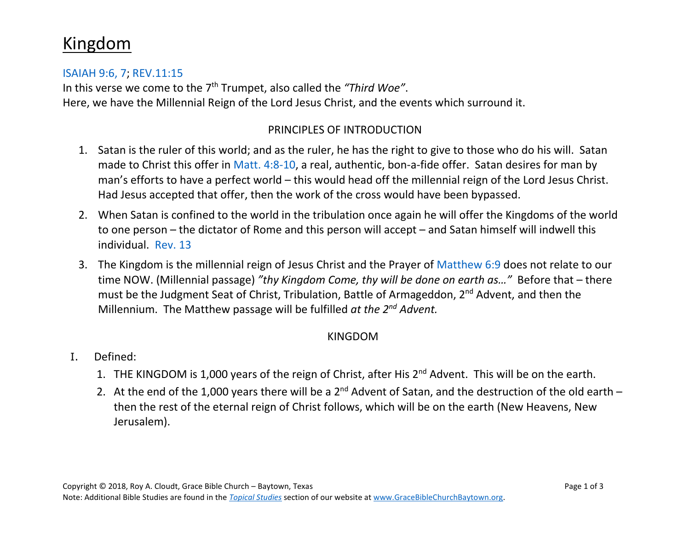# Kingdom

#### [ISAIAH 9:6, 7;](https://www.biblegateway.com/passage/?search=ISAIAH+9%3A6-7&version=NASB) [REV.11:15](https://www.biblegateway.com/passage/?search=REV.11%3A15&version=NASB)

In this verse we come to the 7th Trumpet, also called the *"Third Woe"*. Here, we have the Millennial Reign of the Lord Jesus Christ, and the events which surround it.

#### PRINCIPLES OF INTRODUCTION

- 1. Satan is the ruler of this world; and as the ruler, he has the right to give to those who do his will. Satan made to Christ this offer in Matt. [4:8-10,](https://www.biblegateway.com/passage/?search=Matt.+4%3A8-10&version=NASB) a real, authentic, bon-a-fide offer. Satan desires for man by man's efforts to have a perfect world – this would head off the millennial reign of the Lord Jesus Christ. Had Jesus accepted that offer, then the work of the cross would have been bypassed.
- 2. When Satan is confined to the world in the tribulation once again he will offer the Kingdoms of the world to one person – the dictator of Rome and this person will accept – and Satan himself will indwell this individual. [Rev. 13](https://www.biblegateway.com/passage/?search=Rev.+13&version=NASB)
- 3. The Kingdom is the millennial reign of Jesus Christ and the Prayer of [Matthew 6:9](https://www.biblegateway.com/passage/?search=Matthew+6%3A9&version=NASB) does not relate to our time NOW. (Millennial passage) *"thy Kingdom Come, thy will be done on earth as…"* Before that – there must be the Judgment Seat of Christ, Tribulation, Battle of Armageddon, 2<sup>nd</sup> Advent, and then the Millennium. The Matthew passage will be fulfilled *at the 2nd Advent.*

#### KINGDOM

- I. Defined:
	- 1. THE KINGDOM is 1,000 years of the reign of Christ, after His 2<sup>nd</sup> Advent. This will be on the earth.
	- 2. At the end of the 1,000 years there will be a  $2^{nd}$  Advent of Satan, and the destruction of the old earth  $$ then the rest of the eternal reign of Christ follows, which will be on the earth (New Heavens, New Jerusalem).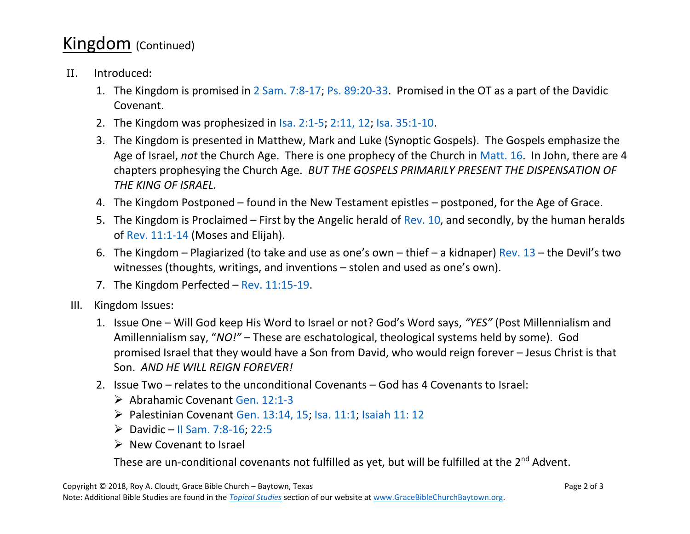## Kingdom (Continued)

- II. Introduced:
	- 1. The Kingdom is promised in [2 Sam.](https://www.biblegateway.com/passage/?search=2+Sam.7%3A8-17&version=NASB) 7:8-17; Ps. [89:20-33.](https://www.biblegateway.com/passage/?search=Ps.+89%3A20-33&version=NASB) Promised in the OT as a part of the Davidic Covenant.
	- 2. The Kingdom was prophesized in Isa. [2:1-5;](https://www.biblegateway.com/passage/?search=Isa.2%3A1-5&version=NASB) [2:11, 12;](https://www.biblegateway.com/passage/?search=Isa.2%3A11-12&version=NASB) Isa. [35:1-10.](https://www.biblegateway.com/passage/?search=Isa.35%3A1-10&version=NASB)
	- 3. The Kingdom is presented in Matthew, Mark and Luke (Synoptic Gospels). The Gospels emphasize the Age of Israel, *not* the Church Age. There is one prophecy of the Church in [Matt.](https://www.biblegateway.com/passage/?search=Matt.+16&version=NASB) 16. In John, there are 4 chapters prophesying the Church Age. *BUT THE GOSPELS PRIMARILY PRESENT THE DISPENSATION OF THE KING OF ISRAEL.*
	- 4. The Kingdom Postponed found in the New Testament epistles postponed, for the Age of Grace.
	- 5. The Kingdom is Proclaimed First by the Angelic herald of [Rev. 10,](https://www.biblegateway.com/passage/?search=Rev.+10&version=NASB) and secondly, by the human heralds of [Rev. 11:1-14](https://www.biblegateway.com/passage/?search=Rev.+11%3A1-14+&version=NASB) (Moses and Elijah).
	- 6. The Kingdom Plagiarized (to take and use as one's own thief a kidnaper) [Rev. 13](https://www.biblegateway.com/passage/?search=Rev.+13&version=NASB) the Devil's two witnesses (thoughts, writings, and inventions – stolen and used as one's own).
	- 7. The Kingdom Perfected [Rev. 11:15-19.](https://www.biblegateway.com/passage/?search=Rev.+11%3A15-19&version=NASB)
- III. Kingdom Issues:
	- 1. Issue One Will God keep His Word to Israel or not? God's Word says, *"YES"* (Post Millennialism and Amillennialism say, "*NO!"* – These are eschatological, theological systems held by some). God promised Israel that they would have a Son from David, who would reign forever – Jesus Christ is that Son. *AND HE WILL REIGN FOREVER!*
	- 2. Issue Two relates to the unconditional Covenants God has 4 Covenants to Israel:
		- ➢ Abrahamic Covenant Gen. [12:1-3](https://www.biblegateway.com/passage/?search=Gen.12%3A1-3&version=NASB)
		- ➢ Palestinian Covenant [Gen. 13:14, 15;](https://www.biblegateway.com/passage/?search=Gen.+13%3A14-15&version=NASB) [Isa. 11:1;](https://www.biblegateway.com/passage/?search=Isa.+11%3A1&version=NASB) [Isaiah 11:](https://www.biblegateway.com/passage/?search=Isaiah+11%3A12&version=NASB) 12
		- $\triangleright$  Davidic [II Sam. 7:8-16;](https://www.biblegateway.com/passage/?search=II+Sam.+7%3A8-16&version=NASB) [22:5](https://www.biblegateway.com/passage/?search=II+Sam.+22%3A5+&version=NASB)
		- ➢ New Covenant to Israel

These are un-conditional covenants not fulfilled as yet, but will be fulfilled at the 2<sup>nd</sup> Advent.